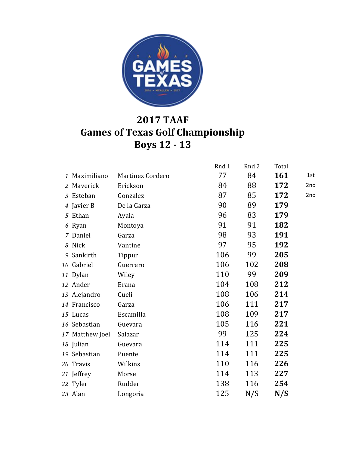

## **2017 TAAF Games of Texas Golf Championship Boys 12 - 13**

|                 |                  | Rnd 1 | Rnd 2 | Total      |     |
|-----------------|------------------|-------|-------|------------|-----|
| 1 Maximiliano   | Martinez Cordero | 77    | 84    | <b>161</b> | 1st |
| 2 Maverick      | Erickson         | 84    | 88    | 172        | 2nd |
| 3 Esteban       | Gonzalez         | 87    | 85    | 172        | 2nd |
| 4 Javier B      | De la Garza      | 90    | 89    | 179        |     |
| 5 Ethan         | Ayala            | 96    | 83    | 179        |     |
| 6 Ryan          | Montoya          | 91    | 91    | 182        |     |
| 7 Daniel        | Garza            | 98    | 93    | 191        |     |
| 8 Nick          | Vantine          | 97    | 95    | 192        |     |
| 9 Sankirth      | Tippur           | 106   | 99    | 205        |     |
| 10 Gabriel      | Guerrero         | 106   | 102   | 208        |     |
| 11 Dylan        | Wiley            | 110   | 99    | 209        |     |
| 12 Ander        | Erana            | 104   | 108   | 212        |     |
| 13 Alejandro    | Cueli            | 108   | 106   | 214        |     |
| 14 Francisco    | Garza            | 106   | 111   | 217        |     |
| 15 Lucas        | Escamilla        | 108   | 109   | 217        |     |
| 16 Sebastian    | Guevara          | 105   | 116   | 221        |     |
| 17 Matthew Joel | Salazar          | 99    | 125   | 224        |     |
| 18 Julian       | Guevara          | 114   | 111   | 225        |     |
| 19 Sebastian    | Puente           | 114   | 111   | 225        |     |
| 20 Travis       | Wilkins          | 110   | 116   | 226        |     |
| 21 Jeffrey      | Morse            | 114   | 113   | 227        |     |
| 22 Tyler        | Rudder           | 138   | 116   | 254        |     |
| 23 Alan         | Longoria         | 125   | N/S   | N/S        |     |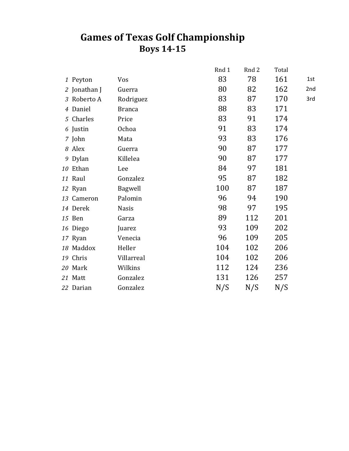## **Games of Texas Golf Championship Boys 14-15**

|              |               | Rnd 1 | Rnd 2 | Total |     |
|--------------|---------------|-------|-------|-------|-----|
| 1 Peyton     | Vos           | 83    | 78    | 161   | 1st |
| 2 Jonathan J | Guerra        | 80    | 82    | 162   | 2nd |
| 3 Roberto A  | Rodriguez     | 83    | 87    | 170   | 3rd |
| 4 Daniel     | <b>Branca</b> | 88    | 83    | 171   |     |
| 5 Charles    | Price         | 83    | 91    | 174   |     |
| 6 Justin     | Ochoa         | 91    | 83    | 174   |     |
| 7 John       | Mata          | 93    | 83    | 176   |     |
| 8 Alex       | Guerra        | 90    | 87    | 177   |     |
| 9 Dylan      | Killelea      | 90    | 87    | 177   |     |
| 10 Ethan     | Lee           | 84    | 97    | 181   |     |
| 11 Raul      | Gonzalez      | 95    | 87    | 182   |     |
| 12 Ryan      | Bagwell       | 100   | 87    | 187   |     |
| 13 Cameron   | Palomin       | 96    | 94    | 190   |     |
| 14 Derek     | <b>Nasis</b>  | 98    | 97    | 195   |     |
| 15 Ben       | Garza         | 89    | 112   | 201   |     |
| 16 Diego     | Juarez        | 93    | 109   | 202   |     |
| 17 Ryan      | Venecia       | 96    | 109   | 205   |     |
| 18 Maddox    | Heller        | 104   | 102   | 206   |     |
| 19 Chris     | Villarreal    | 104   | 102   | 206   |     |
| 20 Mark      | Wilkins       | 112   | 124   | 236   |     |
| 21 Matt      | Gonzalez      | 131   | 126   | 257   |     |
| 22 Darian    | Gonzalez      | N/S   | N/S   | N/S   |     |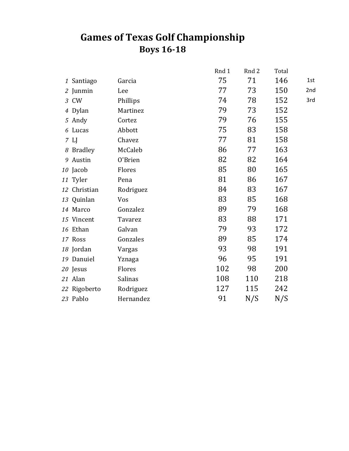## **Games of Texas Golf Championship Boys 16-18**

|               |           | Rnd 1 | Rnd 2 | Total |     |
|---------------|-----------|-------|-------|-------|-----|
| 1 Santiago    | Garcia    | 75    | 71    | 146   | 1st |
| 2 Junmin      | Lee       | 77    | 73    | 150   | 2nd |
| 3 CW          | Phillips  | 74    | 78    | 152   | 3rd |
| 4 Dylan       | Martinez  | 79    | 73    | 152   |     |
| 5 Andy        | Cortez    | 79    | 76    | 155   |     |
| 6 Lucas       | Abbott    | 75    | 83    | 158   |     |
| $7 \text{ L}$ | Chavez    | 77    | 81    | 158   |     |
| 8 Bradley     | McCaleb   | 86    | 77    | 163   |     |
| 9 Austin      | 0'Brien   | 82    | 82    | 164   |     |
| 10 Jacob      | Flores    | 85    | 80    | 165   |     |
| 11 Tyler      | Pena      | 81    | 86    | 167   |     |
| 12 Christian  | Rodriguez | 84    | 83    | 167   |     |
| 13 Quinlan    | Vos       | 83    | 85    | 168   |     |
| 14 Marco      | Gonzalez  | 89    | 79    | 168   |     |
| 15 Vincent    | Tavarez   | 83    | 88    | 171   |     |
| 16 Ethan      | Galvan    | 79    | 93    | 172   |     |
| 17 Ross       | Gonzales  | 89    | 85    | 174   |     |
| 18 Jordan     | Vargas    | 93    | 98    | 191   |     |
| 19 Danuiel    | Yznaga    | 96    | 95    | 191   |     |
| 20 Jesus      | Flores    | 102   | 98    | 200   |     |
| 21 Alan       | Salinas   | 108   | 110   | 218   |     |
| 22 Rigoberto  | Rodriguez | 127   | 115   | 242   |     |
| 23 Pablo      | Hernandez | 91    | N/S   | N/S   |     |